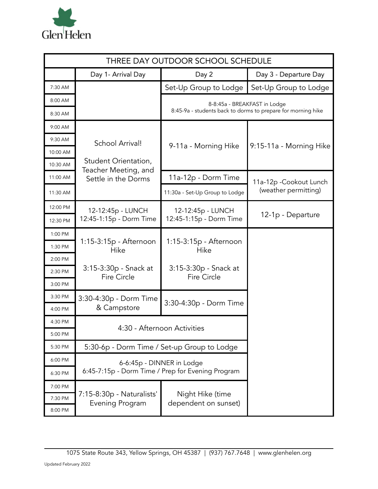

| THREE DAY OUTDOOR SCHOOL SCHEDULE |                                                     |                                                              |                         |  |  |  |  |
|-----------------------------------|-----------------------------------------------------|--------------------------------------------------------------|-------------------------|--|--|--|--|
|                                   | Day 1- Arrival Day                                  | Day 2                                                        | Day 3 - Departure Day   |  |  |  |  |
| 7:30 AM                           |                                                     | Set-Up Group to Lodge                                        | Set-Up Group to Lodge   |  |  |  |  |
| 8:00 AM                           |                                                     | 8-8:45a - BREAKFAST in Lodge                                 |                         |  |  |  |  |
| 8:30 AM                           |                                                     | 8:45-9a - students back to dorms to prepare for morning hike |                         |  |  |  |  |
| 9:00 AM                           |                                                     |                                                              |                         |  |  |  |  |
| 9:30 AM                           | School Arrival!                                     | 9-11a - Morning Hike                                         | 9:15-11a - Morning Hike |  |  |  |  |
| 10:00 AM                          |                                                     |                                                              |                         |  |  |  |  |
| 10:30 AM                          | Student Orientation,<br>Teacher Meeting, and        |                                                              |                         |  |  |  |  |
| 11:00 AM                          | Settle in the Dorms                                 | 11a-12p - Dorm Time                                          | 11a-12p - Cookout Lunch |  |  |  |  |
| 11:30 AM                          |                                                     | 11:30a - Set-Up Group to Lodge                               | (weather permitting)    |  |  |  |  |
| 12:00 PM                          | 12-12:45p - LUNCH                                   | 12-12:45p - LUNCH                                            | 12-1p - Departure       |  |  |  |  |
| 12:30 PM                          | 12:45-1:15p - Dorm Time                             | 12:45-1:15p - Dorm Time                                      |                         |  |  |  |  |
| 1:00 PM                           |                                                     |                                                              |                         |  |  |  |  |
| 1:30 PM                           | 1:15-3:15p - Afternoon<br>Hike                      | 1:15-3:15p - Afternoon<br>Hike                               |                         |  |  |  |  |
| 2:00 PM                           |                                                     | 3:15-3:30p - Snack at<br><b>Fire Circle</b>                  |                         |  |  |  |  |
| 2:30 PM                           | 3:15-3:30p - Snack at<br><b>Fire Circle</b>         |                                                              |                         |  |  |  |  |
| 3:00 PM                           |                                                     |                                                              |                         |  |  |  |  |
| 3:30 PM                           | 3:30-4:30p - Dorm Time                              | 3:30-4:30p - Dorm Time                                       |                         |  |  |  |  |
| 4:00 PM                           | & Campstore                                         |                                                              |                         |  |  |  |  |
| 4:30 PM                           | 4:30 - Afternoon Activities                         |                                                              |                         |  |  |  |  |
| 5:00 PM                           |                                                     |                                                              |                         |  |  |  |  |
| 5:30 PM                           | 5:30-6p - Dorm Time / Set-up Group to Lodge         |                                                              |                         |  |  |  |  |
| 6:00 PM                           | 6-6:45p - DINNER in Lodge                           |                                                              |                         |  |  |  |  |
| 6:30 PM                           |                                                     | 6:45-7:15p - Dorm Time / Prep for Evening Program            |                         |  |  |  |  |
| 7:00 PM                           |                                                     |                                                              |                         |  |  |  |  |
| 7:30 PM                           | 7:15-8:30p - Naturalists'<br><b>Evening Program</b> | Night Hike (time<br>dependent on sunset)                     |                         |  |  |  |  |
| 8:00 PM                           |                                                     |                                                              |                         |  |  |  |  |